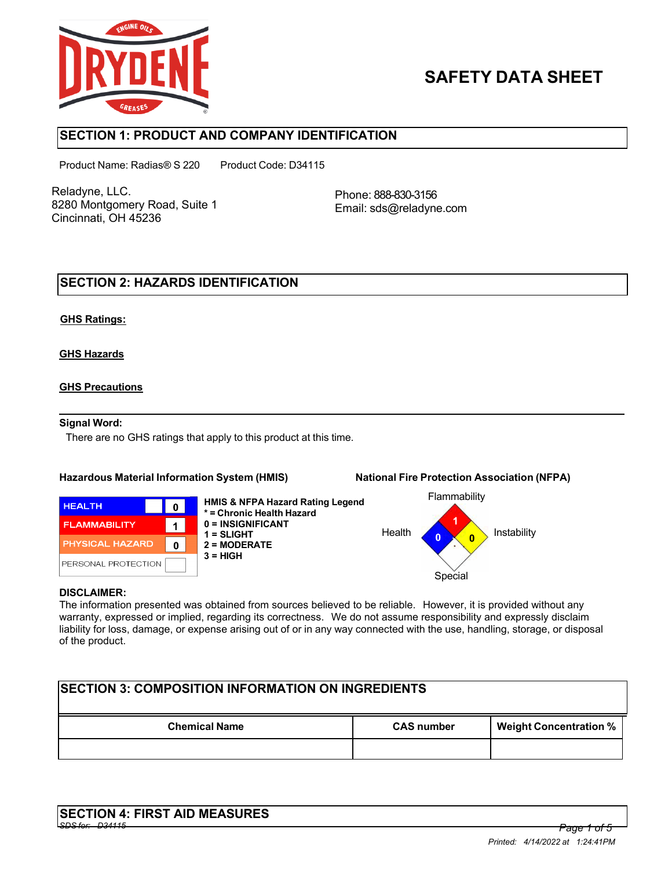

# **SAFETY DATA SHEET**

# **SECTION 1: PRODUCT AND COMPANY IDENTIFICATION**

Product Name: Radias® S 220 Product Code: D34115

Reladyne, LLC. 8280 Montgomery Road, Suite 1 Cincinnati, OH 45236

Phone: 888-830-3156 Email: sds@reladyne.com

# **SECTION 2: HAZARDS IDENTIFICATION**

## **GHS Ratings:**

## **GHS Hazards**

## **GHS Precautions**

#### **Signal Word:**

There are no GHS ratings that apply to this product at this time.

#### **Hazardous Material Information System (HMIS) National Fire Protection Association (NFPA)**

#### **HEALTH**  $\mathbf{0}$ **FLAMMABILITY**  $\mathbf 1$ PHYSICAL HAZARD  $\mathbf{0}$ PERSONAL PROTECTION

**HMIS & NFPA Hazard Rating Legend \* = Chronic Health Hazard 0 = INSIGNIFICANT 1 = SLIGHT 2 = MODERATE 3 = HIGH**



#### **DISCLAIMER:**

The information presented was obtained from sources believed to be reliable. However, it is provided without any warranty, expressed or implied, regarding its correctness. We do not assume responsibility and expressly disclaim liability for loss, damage, or expense arising out of or in any way connected with the use, handling, storage, or disposal of the product.

# **SECTION 3: COMPOSITION INFORMATION ON INGREDIENTS Chemical Name CAS number Weight Concentration %**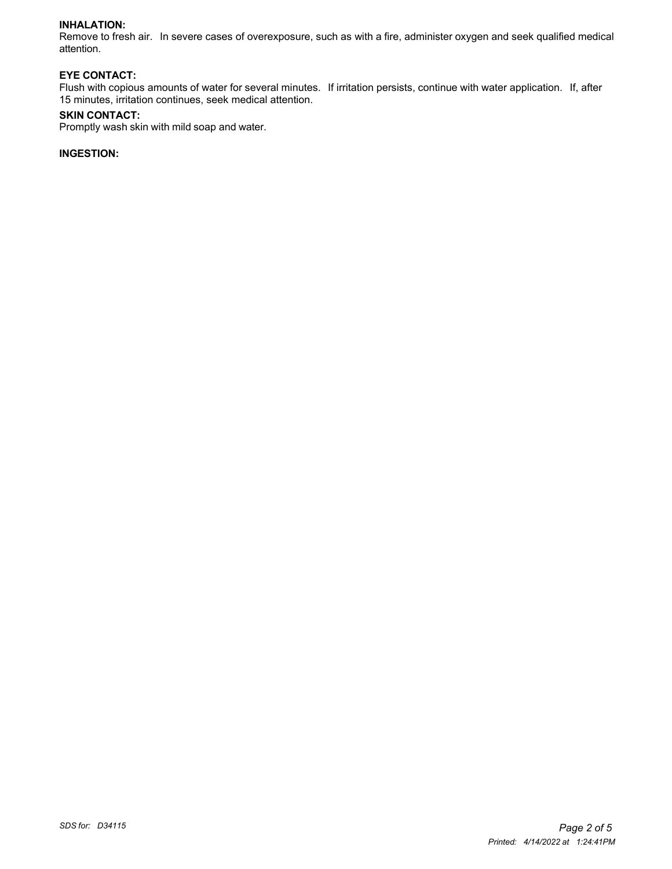#### **INHALATION:**

Remove to fresh air. In severe cases of overexposure, such as with a fire, administer oxygen and seek qualified medical attention.

#### **EYE CONTACT:**

Flush with copious amounts of water for several minutes. If irritation persists, continue with water application. If, after 15 minutes, irritation continues, seek medical attention.

#### **SKIN CONTACT:**

Promptly wash skin with mild soap and water.

## **INGESTION:**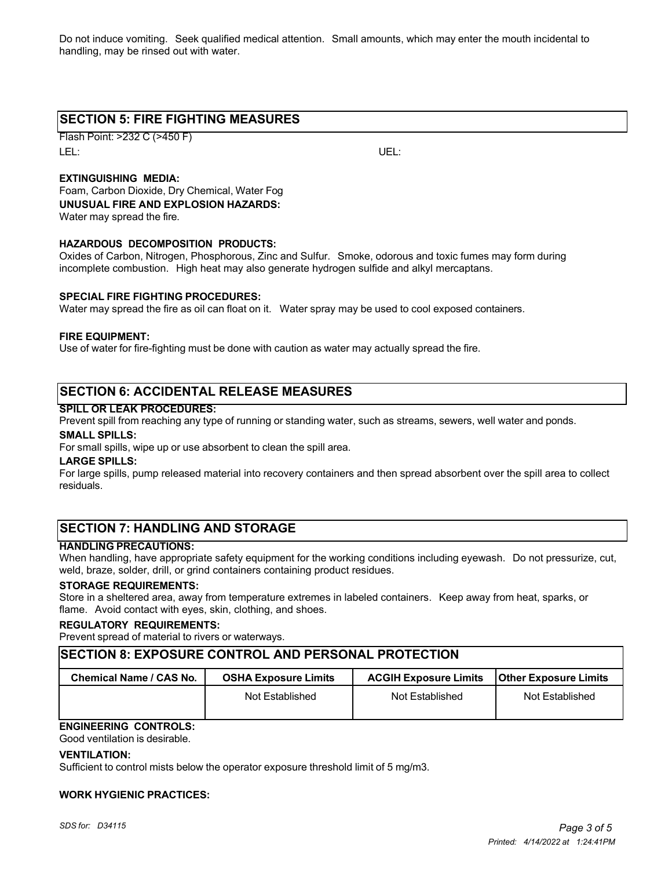Do not induce vomiting. Seek qualified medical attention. Small amounts, which may enter the mouth incidental to handling, may be rinsed out with water.

# **SECTION 5: FIRE FIGHTING MEASURES**

Flash Point: >232 C (>450 F) LEL: UEL:

## **EXTINGUISHING MEDIA:**

Foam, Carbon Dioxide, Dry Chemical, Water Fog **UNUSUAL FIRE AND EXPLOSION HAZARDS:** Water may spread the fire.

#### **HAZARDOUS DECOMPOSITION PRODUCTS:**

Oxides of Carbon, Nitrogen, Phosphorous, Zinc and Sulfur. Smoke, odorous and toxic fumes may form during incomplete combustion. High heat may also generate hydrogen sulfide and alkyl mercaptans.

#### **SPECIAL FIRE FIGHTING PROCEDURES:**

Water may spread the fire as oil can float on it. Water spray may be used to cool exposed containers.

#### **FIRE EQUIPMENT:**

Use of water for fire-fighting must be done with caution as water may actually spread the fire.

# **SECTION 6: ACCIDENTAL RELEASE MEASURES**

#### **SPILL OR LEAK PROCEDURES:**

Prevent spill from reaching any type of running or standing water, such as streams, sewers, well water and ponds.

#### **SMALL SPILLS:**

For small spills, wipe up or use absorbent to clean the spill area.

#### **LARGE SPILLS:**

For large spills, pump released material into recovery containers and then spread absorbent over the spill area to collect residuals.

# **SECTION 7: HANDLING AND STORAGE**

#### **HANDLING PRECAUTIONS:**

When handling, have appropriate safety equipment for the working conditions including eyewash. Do not pressurize, cut, weld, braze, solder, drill, or grind containers containing product residues.

#### **STORAGE REQUIREMENTS:**

Store in a sheltered area, away from temperature extremes in labeled containers. Keep away from heat, sparks, or flame. Avoid contact with eyes, skin, clothing, and shoes.

#### **REGULATORY REQUIREMENTS:**

Prevent spread of material to rivers or waterways.

### **SECTION 8: EXPOSURE CONTROL AND PERSONAL PROTECTION**

| Chemical Name / CAS No. | <b>OSHA Exposure Limits</b> | <b>ACGIH Exposure Limits</b> | <b>IOther Exposure Limits</b> |
|-------------------------|-----------------------------|------------------------------|-------------------------------|
|                         | Not Established             | Not Established              | Not Established               |

# **ENGINEERING CONTROLS:**

Good ventilation is desirable.

#### **VENTILATION:**

Sufficient to control mists below the operator exposure threshold limit of 5 mg/m3.

#### **WORK HYGIENIC PRACTICES:**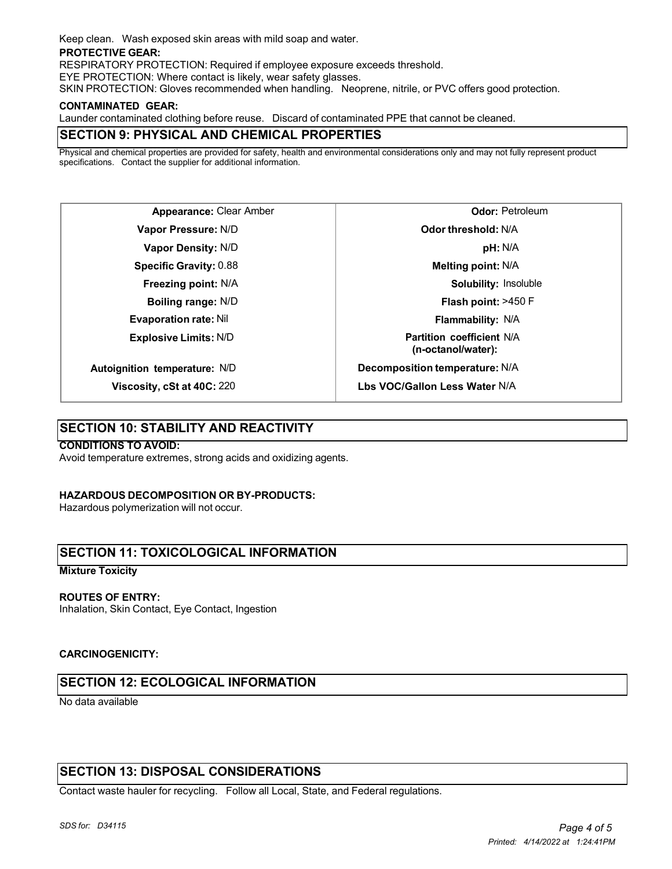Keep clean. Wash exposed skin areas with mild soap and water.

#### **PROTECTIVE GEAR:**

RESPIRATORY PROTECTION: Required if employee exposure exceeds threshold.

EYE PROTECTION: Where contact is likely, wear safety glasses.

SKIN PROTECTION: Gloves recommended when handling. Neoprene, nitrile, or PVC offers good protection.

#### **CONTAMINATED GEAR:**

Launder contaminated clothing before reuse. Discard of contaminated PPE that cannot be cleaned.

# **SECTION 9: PHYSICAL AND CHEMICAL PROPERTIES**

Physical and chemical properties are provided for safety, health and environmental considerations only and may not fully represent product specifications. Contact the supplier for additional information.

**Appearance:** Clear Amber **Vapor Pressure:** N/D **Vapor Density:** N/D **Specific Gravity:** 0.88 **Freezing point:** N/A **Boiling range:** N/D **Evaporation rate:** Nil **Explosive Limits:** N/D **Autoignition temperature:** N/D

**Viscosity, cSt at 40C:** 220

**Odor:** Petroleum **Odor threshold:** N/A **pH:** N/A **Melting point:** N/A **Solubility:** Insoluble **Flash point:** >450 F **Flammability:** N/A **Partition coefficient** N/A **(n-octanol/water): Decomposition temperature:** N/A

**Lbs VOC/Gallon Less Water** N/A

# **SECTION 10: STABILITY AND REACTIVITY**

#### **CONDITIONS TO AVOID:**

Avoid temperature extremes, strong acids and oxidizing agents.

#### **HAZARDOUS DECOMPOSITION OR BY-PRODUCTS:**

Hazardous polymerization will not occur.

# **SECTION 11: TOXICOLOGICAL INFORMATION**

#### **Mixture Toxicity**

#### **ROUTES OF ENTRY:**

Inhalation, Skin Contact, Eye Contact, Ingestion

#### **CARCINOGENICITY:**

# **SECTION 12: ECOLOGICAL INFORMATION**

No data available

# **SECTION 13: DISPOSAL CONSIDERATIONS**

Contact waste hauler for recycling. Follow all Local, State, and Federal regulations.